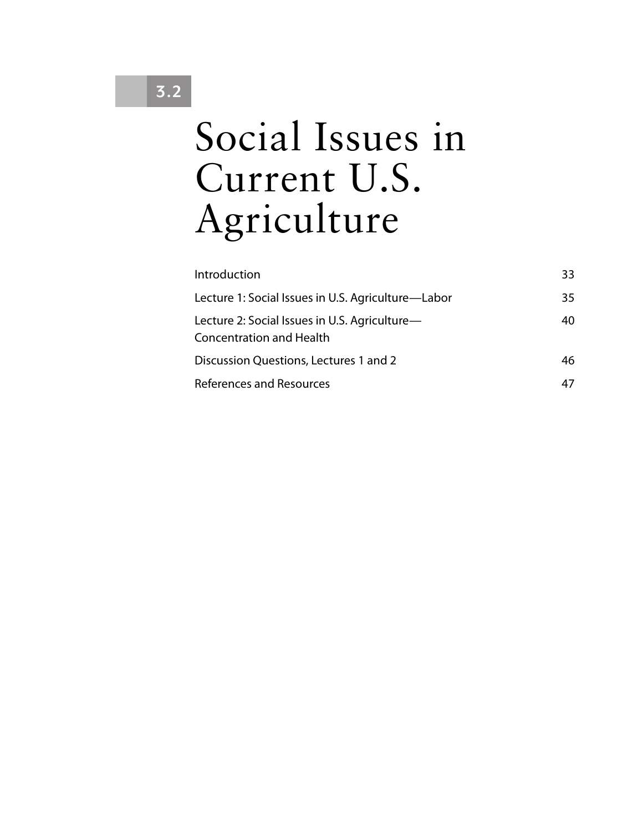# Social Issues in Current U.S. Agriculture

| Introduction                                                                     | 33 |
|----------------------------------------------------------------------------------|----|
| Lecture 1: Social Issues in U.S. Agriculture-Labor                               | 35 |
| Lecture 2: Social Issues in U.S. Agriculture-<br><b>Concentration and Health</b> | 40 |
| Discussion Questions, Lectures 1 and 2                                           | 46 |
| <b>References and Resources</b>                                                  | 47 |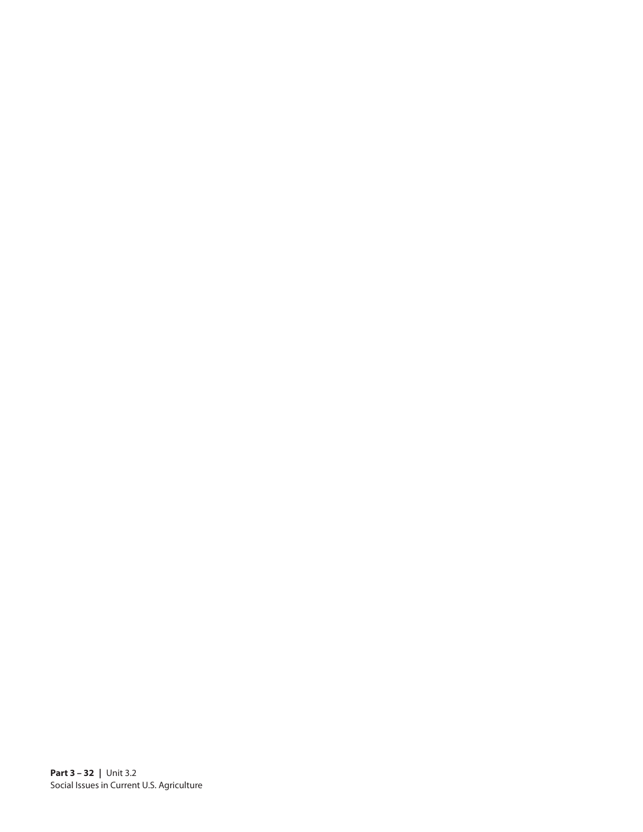Social Issues in Current U.S. Agriculture **Part 3 – 32 |** Unit 3.2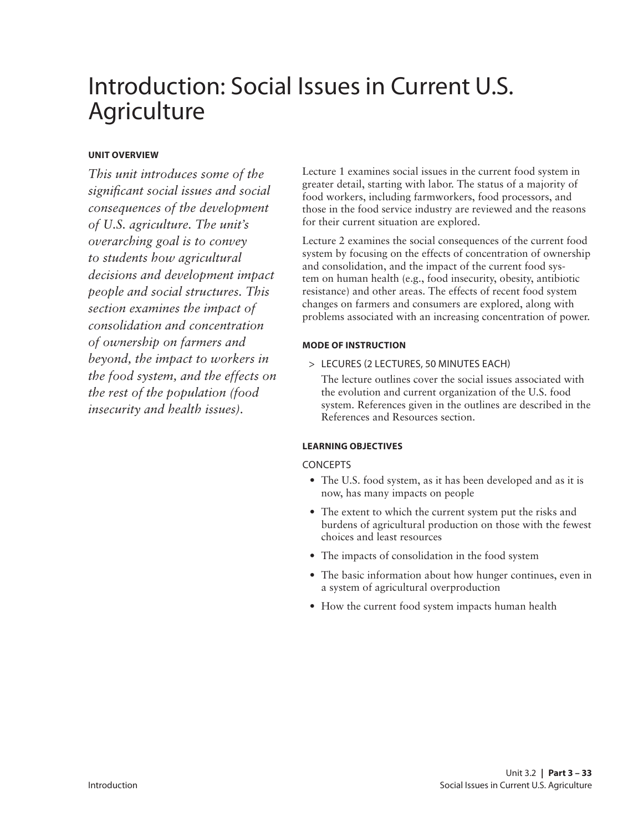# Introduction: Social Issues in Current U.S. Agriculture

# **Unit Overview**

*This unit introduces some of the significant social issues and social consequences of the development of U.S. agriculture. The unit's overarching goal is to convey to students how agricultural decisions and development impact people and social structures. This section examines the impact of consolidation and concentration of ownership on farmers and beyond, the impact to workers in the food system, and the effects on the rest of the population (food insecurity and health issues).*

Lecture 1 examines social issues in the current food system in greater detail, starting with labor. The status of a majority of food workers, including farmworkers, food processors, and those in the food service industry are reviewed and the reasons for their current situation are explored.

Lecture 2 examines the social consequences of the current food system by focusing on the effects of concentration of ownership and consolidation, and the impact of the current food system on human health (e.g., food insecurity, obesity, antibiotic resistance) and other areas. The effects of recent food system changes on farmers and consumers are explored, along with problems associated with an increasing concentration of power.

### **Mode of Instruction**

> lecures (2 Lectures, 50 minutes each)

The lecture outlines cover the social issues associated with the evolution and current organization of the U.S. food system. References given in the outlines are described in the References and Resources section.

### **Learning Objectives**

### **CONCEPTS**

- The U.S. food system, as it has been developed and as it is now, has many impacts on people
- The extent to which the current system put the risks and burdens of agricultural production on those with the fewest choices and least resources
- The impacts of consolidation in the food system
- • The basic information about how hunger continues, even in a system of agricultural overproduction
- How the current food system impacts human health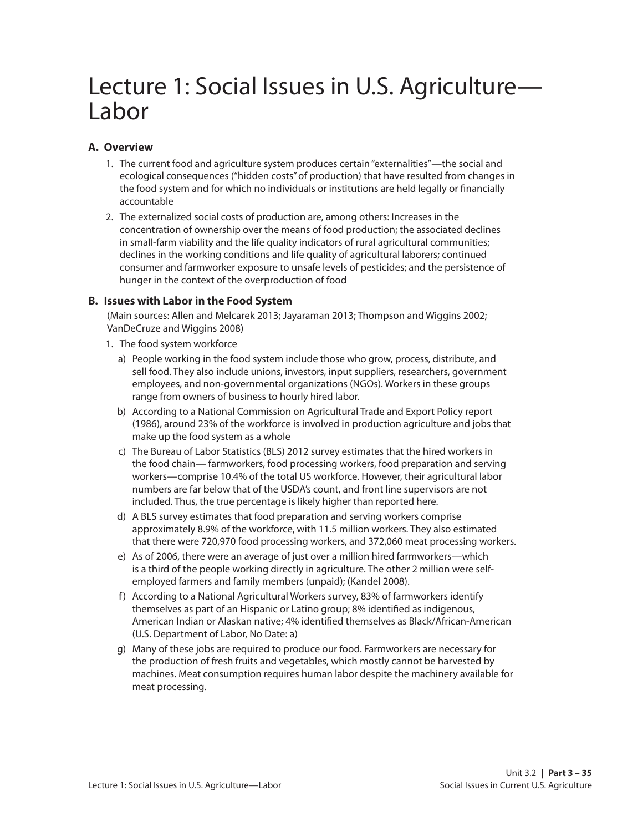# Lecture 1: Social Issues in U.S. Agriculture— Labor

## **A. Overview**

- 1. The current food and agriculture system produces certain "externalities"—the social and ecological consequences ("hidden costs" of production) that have resulted from changes in the food system and for which no individuals or institutions are held legally or financially accountable
- 2. The externalized social costs of production are, among others: Increases in the concentration of ownership over the means of food production; the associated declines in small-farm viability and the life quality indicators of rural agricultural communities; declines in the working conditions and life quality of agricultural laborers; continued consumer and farmworker exposure to unsafe levels of pesticides; and the persistence of hunger in the context of the overproduction of food

### **B. Issues with Labor in the Food System**

(Main sources: Allen and Melcarek 2013; Jayaraman 2013; Thompson and Wiggins 2002; VanDeCruze and Wiggins 2008)

- 1. The food system workforce
	- a) People working in the food system include those who grow, process, distribute, and sell food. They also include unions, investors, input suppliers, researchers, government employees, and non-governmental organizations (NGOs). Workers in these groups range from owners of business to hourly hired labor.
	- b) According to a National Commission on Agricultural Trade and Export Policy report (1986), around 23% of the workforce is involved in production agriculture and jobs that make up the food system as a whole
	- c) The Bureau of Labor Statistics (BLS) 2012 survey estimates that the hired workers in the food chain— farmworkers, food processing workers, food preparation and serving workers—comprise 10.4% of the total US workforce. However, their agricultural labor numbers are far below that of the USDA's count, and front line supervisors are not included. Thus, the true percentage is likely higher than reported here.
	- d) A BLS survey estimates that food preparation and serving workers comprise approximately 8.9% of the workforce, with 11.5 million workers. They also estimated that there were 720,970 food processing workers, and 372,060 meat processing workers.
	- e) As of 2006, there were an average of just over a million hired farmworkers—which is a third of the people working directly in agriculture. The other 2 million were selfemployed farmers and family members (unpaid); (Kandel 2008).
	- f) According to a National Agricultural Workers survey, 83% of farmworkers identify themselves as part of an Hispanic or Latino group; 8% identified as indigenous, American Indian or Alaskan native; 4% identified themselves as Black/African-American (U.S. Department of Labor, No Date: a)
	- g) Many of these jobs are required to produce our food. Farmworkers are necessary for the production of fresh fruits and vegetables, which mostly cannot be harvested by machines. Meat consumption requires human labor despite the machinery available for meat processing.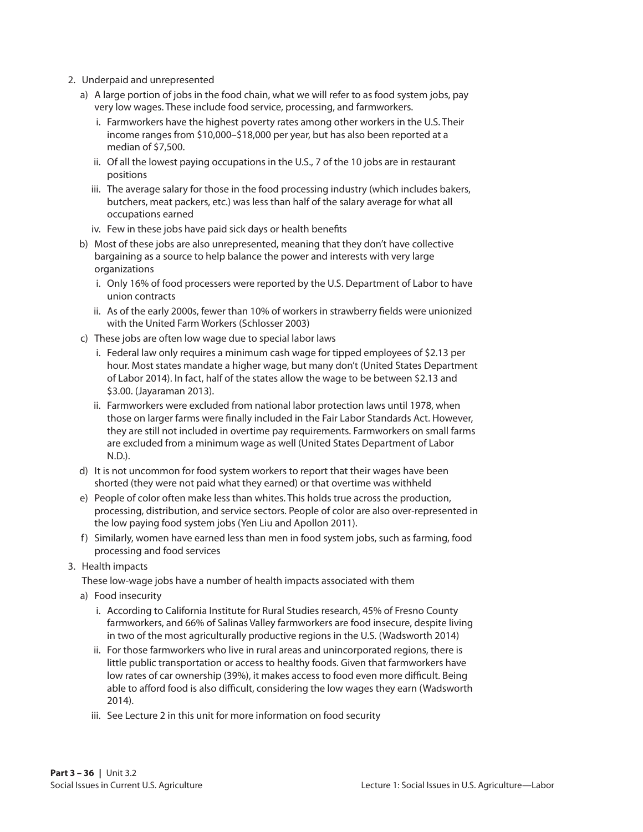- 2. Underpaid and unrepresented
	- a) A large portion of jobs in the food chain, what we will refer to as food system jobs, pay very low wages. These include food service, processing, and farmworkers.
		- i. Farmworkers have the highest poverty rates among other workers in the U.S. Their income ranges from \$10,000–\$18,000 per year, but has also been reported at a median of \$7,500.
		- ii. Of all the lowest paying occupations in the U.S., 7 of the 10 jobs are in restaurant positions
		- iii. The average salary for those in the food processing industry (which includes bakers, butchers, meat packers, etc.) was less than half of the salary average for what all occupations earned
		- iv. Few in these jobs have paid sick days or health benefits
	- b) Most of these jobs are also unrepresented, meaning that they don't have collective bargaining as a source to help balance the power and interests with very large organizations
		- i. Only 16% of food processers were reported by the U.S. Department of Labor to have union contracts
		- ii. As of the early 2000s, fewer than 10% of workers in strawberry fields were unionized with the United Farm Workers (Schlosser 2003)
	- c) These jobs are often low wage due to special labor laws
		- i. Federal law only requires a minimum cash wage for tipped employees of \$2.13 per hour. Most states mandate a higher wage, but many don't (United States Department of Labor 2014). In fact, half of the states allow the wage to be between \$2.13 and \$3.00. (Jayaraman 2013).
		- ii. Farmworkers were excluded from national labor protection laws until 1978, when those on larger farms were finally included in the Fair Labor Standards Act. However, they are still not included in overtime pay requirements. Farmworkers on small farms are excluded from a minimum wage as well (United States Department of Labor N.D.).
	- d) It is not uncommon for food system workers to report that their wages have been shorted (they were not paid what they earned) or that overtime was withheld
	- e) People of color often make less than whites. This holds true across the production, processing, distribution, and service sectors. People of color are also over-represented in the low paying food system jobs (Yen Liu and Apollon 2011).
	- f) Similarly, women have earned less than men in food system jobs, such as farming, food processing and food services
- 3. Health impacts

These low-wage jobs have a number of health impacts associated with them

- a) Food insecurity
	- i. According to California Institute for Rural Studies research, 45% of Fresno County farmworkers, and 66% of Salinas Valley farmworkers are food insecure, despite living in two of the most agriculturally productive regions in the U.S. (Wadsworth 2014)
	- ii. For those farmworkers who live in rural areas and unincorporated regions, there is little public transportation or access to healthy foods. Given that farmworkers have low rates of car ownership (39%), it makes access to food even more difficult. Being able to afford food is also difficult, considering the low wages they earn (Wadsworth 2014).
	- iii. See Lecture 2 in this unit for more information on food security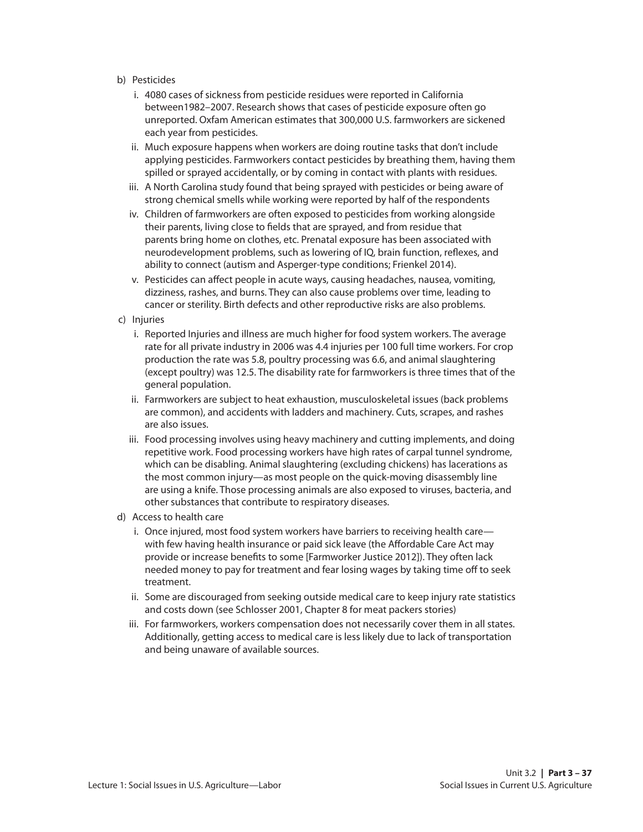#### b) Pesticides

- i. 4080 cases of sickness from pesticide residues were reported in California between1982–2007. Research shows that cases of pesticide exposure often go unreported. Oxfam American estimates that 300,000 U.S. farmworkers are sickened each year from pesticides.
- ii. Much exposure happens when workers are doing routine tasks that don't include applying pesticides. Farmworkers contact pesticides by breathing them, having them spilled or sprayed accidentally, or by coming in contact with plants with residues.
- iii. A North Carolina study found that being sprayed with pesticides or being aware of strong chemical smells while working were reported by half of the respondents
- iv. Children of farmworkers are often exposed to pesticides from working alongside their parents, living close to fields that are sprayed, and from residue that parents bring home on clothes, etc. Prenatal exposure has been associated with neurodevelopment problems, such as lowering of IQ, brain function, reflexes, and ability to connect (autism and Asperger-type conditions; Frienkel 2014).
- v. Pesticides can affect people in acute ways, causing headaches, nausea, vomiting, dizziness, rashes, and burns. They can also cause problems over time, leading to cancer or sterility. Birth defects and other reproductive risks are also problems.
- c) Injuries
	- i. Reported Injuries and illness are much higher for food system workers. The average rate for all private industry in 2006 was 4.4 injuries per 100 full time workers. For crop production the rate was 5.8, poultry processing was 6.6, and animal slaughtering (except poultry) was 12.5. The disability rate for farmworkers is three times that of the general population.
	- ii. Farmworkers are subject to heat exhaustion, musculoskeletal issues (back problems are common), and accidents with ladders and machinery. Cuts, scrapes, and rashes are also issues.
	- iii. Food processing involves using heavy machinery and cutting implements, and doing repetitive work. Food processing workers have high rates of carpal tunnel syndrome, which can be disabling. Animal slaughtering (excluding chickens) has lacerations as the most common injury—as most people on the quick-moving disassembly line are using a knife. Those processing animals are also exposed to viruses, bacteria, and other substances that contribute to respiratory diseases.
- d) Access to health care
	- i. Once injured, most food system workers have barriers to receiving health care with few having health insurance or paid sick leave (the Affordable Care Act may provide or increase benefits to some [Farmworker Justice 2012]). They often lack needed money to pay for treatment and fear losing wages by taking time off to seek treatment.
	- ii. Some are discouraged from seeking outside medical care to keep injury rate statistics and costs down (see Schlosser 2001, Chapter 8 for meat packers stories)
	- iii. For farmworkers, workers compensation does not necessarily cover them in all states. Additionally, getting access to medical care is less likely due to lack of transportation and being unaware of available sources.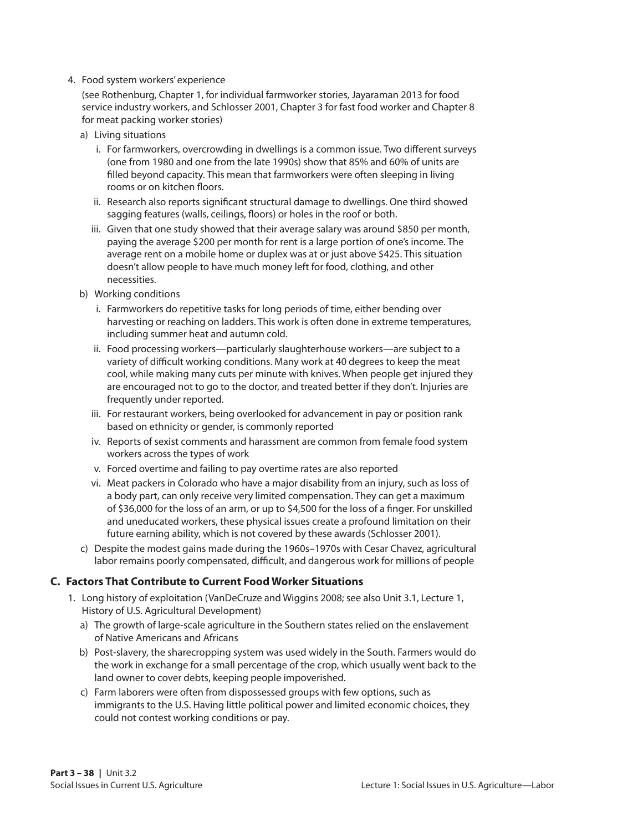4. Food system workers' experience

(see Rothenburg, Chapter 1, for individual farmworker stories, Jayaraman 2013 for food service industry workers, and Schlosser 2001, Chapter 3 for fast food worker and Chapter 8 for meat packing worker stories)

- a) Living situations
	- i. For farmworkers, overcrowding in dwellings is a common issue. Two different surveys (one from 1980 and one from the late 1990s) show that 85% and 60% of units are filled beyond capacity. This mean that farmworkers were often sleeping in living rooms or on kitchen floors.
	- ii. Research also reports significant structural damage to dwellings. One third showed sagging features (walls, ceilings, floors) or holes in the roof or both.
	- iii. Given that one study showed that their average salary was around \$850 per month, paying the average \$200 per month for rent is a large portion of one's income. The average rent on a mobile home or duplex was at or just above \$425. This situation doesn't allow people to have much money left for food, clothing, and other necessities.
- b) Working conditions
	- i. Farmworkers do repetitive tasks for long periods of time, either bending over harvesting or reaching on ladders. This work is often done in extreme temperatures, including summer heat and autumn cold.
	- ii. Food processing workers—particularly slaughterhouse workers—are subject to a variety of difficult working conditions. Many work at 40 degrees to keep the meat cool, while making many cuts per minute with knives. When people get injured they are encouraged not to go to the doctor, and treated better if they don't. Injuries are frequently under reported.
	- iii. For restaurant workers, being overlooked for advancement in pay or position rank based on ethnicity or gender, is commonly reported
	- iv. Reports of sexist comments and harassment are common from female food system workers across the types of work
	- v. Forced overtime and failing to pay overtime rates are also reported
	- vi. Meat packers in Colorado who have a major disability from an injury, such as loss of a body part, can only receive very limited compensation. They can get a maximum of \$36,000 for the loss of an arm, or up to \$4,500 for the loss of a finger. For unskilled and uneducated workers, these physical issues create a profound limitation on their future earning ability, which is not covered by these awards (Schlosser 2001).
- c) Despite the modest gains made during the 1960s–1970s with Cesar Chavez, agricultural labor remains poorly compensated, difficult, and dangerous work for millions of people

### **C. Factors That Contribute to Current Food Worker Situations**

- 1. Long history of exploitation (VanDeCruze and Wiggins 2008; see also Unit 3.1, Lecture 1, History of U.S. Agricultural Development)
	- a) The growth of large-scale agriculture in the Southern states relied on the enslavement of Native Americans and Africans
	- b) Post-slavery, the sharecropping system was used widely in the South. Farmers would do the work in exchange for a small percentage of the crop, which usually went back to the land owner to cover debts, keeping people impoverished.
	- c) Farm laborers were often from dispossessed groups with few options, such as immigrants to the U.S. Having little political power and limited economic choices, they could not contest working conditions or pay.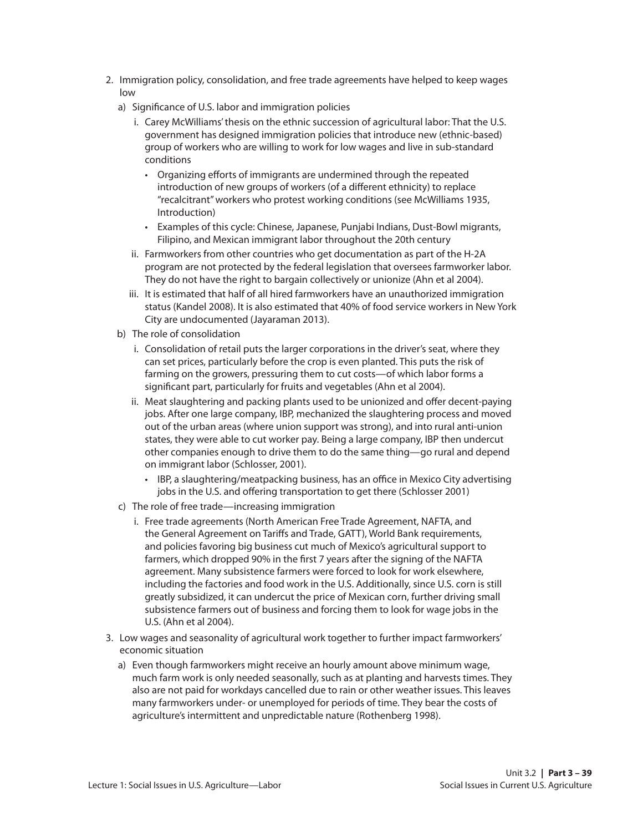- 2. Immigration policy, consolidation, and free trade agreements have helped to keep wages low
	- a) Significance of U.S. labor and immigration policies
		- i. Carey McWilliams' thesis on the ethnic succession of agricultural labor: That the U.S. government has designed immigration policies that introduce new (ethnic-based) group of workers who are willing to work for low wages and live in sub-standard conditions
			- • Organizing efforts of immigrants are undermined through the repeated introduction of new groups of workers (of a different ethnicity) to replace "recalcitrant" workers who protest working conditions (see McWilliams 1935, Introduction)
			- • Examples of this cycle: Chinese, Japanese, Punjabi Indians, Dust-Bowl migrants, Filipino, and Mexican immigrant labor throughout the 20th century
		- ii. Farmworkers from other countries who get documentation as part of the H-2A program are not protected by the federal legislation that oversees farmworker labor. They do not have the right to bargain collectively or unionize (Ahn et al 2004).
		- iii. It is estimated that half of all hired farmworkers have an unauthorized immigration status (Kandel 2008). It is also estimated that 40% of food service workers in New York City are undocumented (Jayaraman 2013).
	- b) The role of consolidation
		- i. Consolidation of retail puts the larger corporations in the driver's seat, where they can set prices, particularly before the crop is even planted. This puts the risk of farming on the growers, pressuring them to cut costs—of which labor forms a significant part, particularly for fruits and vegetables (Ahn et al 2004).
		- ii. Meat slaughtering and packing plants used to be unionized and offer decent-paying jobs. After one large company, IBP, mechanized the slaughtering process and moved out of the urban areas (where union support was strong), and into rural anti-union states, they were able to cut worker pay. Being a large company, IBP then undercut other companies enough to drive them to do the same thing—go rural and depend on immigrant labor (Schlosser, 2001).
			- • IBP, a slaughtering/meatpacking business, has an office in Mexico City advertising jobs in the U.S. and offering transportation to get there (Schlosser 2001)
	- c) The role of free trade—increasing immigration
		- i. Free trade agreements (North American Free Trade Agreement, NAFTA, and the General Agreement on Tariffs and Trade, GATT), World Bank requirements, and policies favoring big business cut much of Mexico's agricultural support to farmers, which dropped 90% in the first 7 years after the signing of the NAFTA agreement. Many subsistence farmers were forced to look for work elsewhere, including the factories and food work in the U.S. Additionally, since U.S. corn is still greatly subsidized, it can undercut the price of Mexican corn, further driving small subsistence farmers out of business and forcing them to look for wage jobs in the U.S. (Ahn et al 2004).
- 3. Low wages and seasonality of agricultural work together to further impact farmworkers' economic situation
	- a) Even though farmworkers might receive an hourly amount above minimum wage, much farm work is only needed seasonally, such as at planting and harvests times. They also are not paid for workdays cancelled due to rain or other weather issues. This leaves many farmworkers under- or unemployed for periods of time. They bear the costs of agriculture's intermittent and unpredictable nature (Rothenberg 1998).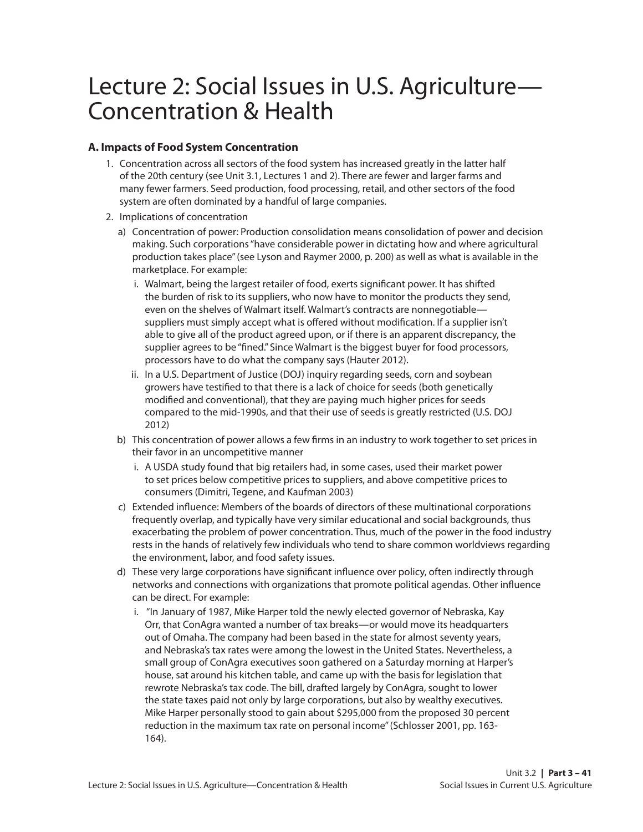# Lecture 2: Social Issues in U.S. Agriculture— Concentration & Health

## **A. Impacts of Food System Concentration**

- 1. Concentration across all sectors of the food system has increased greatly in the latter half of the 20th century (see Unit 3.1, Lectures 1 and 2). There are fewer and larger farms and many fewer farmers. Seed production, food processing, retail, and other sectors of the food system are often dominated by a handful of large companies.
- 2. Implications of concentration
	- a) Concentration of power: Production consolidation means consolidation of power and decision making. Such corporations "have considerable power in dictating how and where agricultural production takes place" (see Lyson and Raymer 2000, p. 200) as well as what is available in the marketplace. For example:
		- i. Walmart, being the largest retailer of food, exerts significant power. It has shifted the burden of risk to its suppliers, who now have to monitor the products they send, even on the shelves of Walmart itself. Walmart's contracts are nonnegotiable suppliers must simply accept what is offered without modification. If a supplier isn't able to give all of the product agreed upon, or if there is an apparent discrepancy, the supplier agrees to be "fined." Since Walmart is the biggest buyer for food processors, processors have to do what the company says (Hauter 2012).
		- ii. In a U.S. Department of Justice (DOJ) inquiry regarding seeds, corn and soybean growers have testified to that there is a lack of choice for seeds (both genetically modified and conventional), that they are paying much higher prices for seeds compared to the mid-1990s, and that their use of seeds is greatly restricted (U.S. DOJ 2012)
	- b) This concentration of power allows a few firms in an industry to work together to set prices in their favor in an uncompetitive manner
		- i. A USDA study found that big retailers had, in some cases, used their market power to set prices below competitive prices to suppliers, and above competitive prices to consumers (Dimitri, Tegene, and Kaufman 2003)
	- c) Extended influence: Members of the boards of directors of these multinational corporations frequently overlap, and typically have very similar educational and social backgrounds, thus exacerbating the problem of power concentration. Thus, much of the power in the food industry rests in the hands of relatively few individuals who tend to share common worldviews regarding the environment, labor, and food safety issues.
	- d) These very large corporations have significant influence over policy, often indirectly through networks and connections with organizations that promote political agendas. Other influence can be direct. For example:
		- i. "In January of 1987, Mike Harper told the newly elected governor of Nebraska, Kay Orr, that ConAgra wanted a number of tax breaks—or would move its headquarters out of Omaha. The company had been based in the state for almost seventy years, and Nebraska's tax rates were among the lowest in the United States. Nevertheless, a small group of ConAgra executives soon gathered on a Saturday morning at Harper's house, sat around his kitchen table, and came up with the basis for legislation that rewrote Nebraska's tax code. The bill, drafted largely by ConAgra, sought to lower the state taxes paid not only by large corporations, but also by wealthy executives. Mike Harper personally stood to gain about \$295,000 from the proposed 30 percent reduction in the maximum tax rate on personal income" (Schlosser 2001, pp. 163- 164).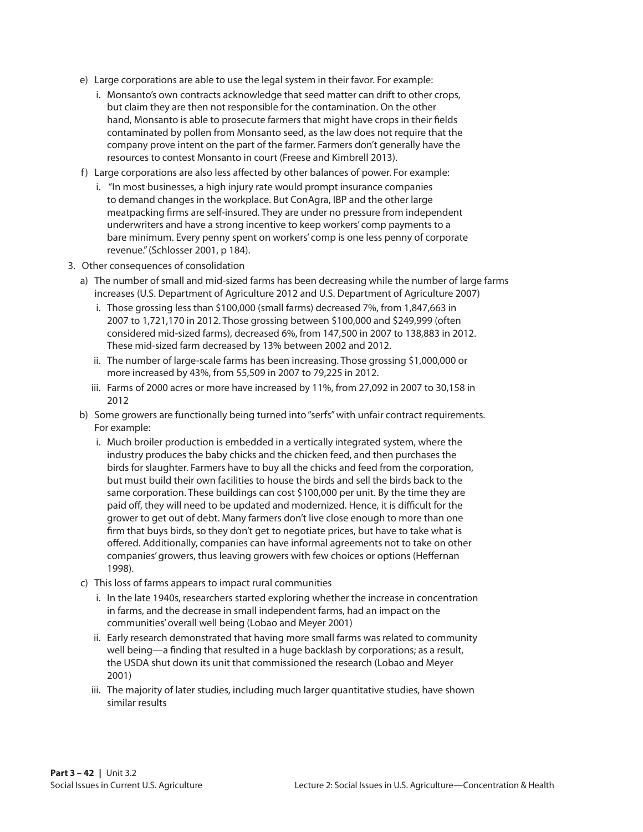- e) Large corporations are able to use the legal system in their favor. For example:
	- i. Monsanto's own contracts acknowledge that seed matter can drift to other crops, but claim they are then not responsible for the contamination. On the other hand, Monsanto is able to prosecute farmers that might have crops in their fields contaminated by pollen from Monsanto seed, as the law does not require that the company prove intent on the part of the farmer. Farmers don't generally have the resources to contest Monsanto in court (Freese and Kimbrell 2013).
- f) Large corporations are also less affected by other balances of power. For example:
	- i. "In most businesses, a high injury rate would prompt insurance companies to demand changes in the workplace. But ConAgra, IBP and the other large meatpacking firms are self-insured. They are under no pressure from independent underwriters and have a strong incentive to keep workers' comp payments to a bare minimum. Every penny spent on workers' comp is one less penny of corporate revenue." (Schlosser 2001, p 184).
- 3. Other consequences of consolidation
	- a) The number of small and mid-sized farms has been decreasing while the number of large farms increases (U.S. Department of Agriculture 2012 and U.S. Department of Agriculture 2007)
		- i. Those grossing less than \$100,000 (small farms) decreased 7%, from 1,847,663 in 2007 to 1,721,170 in 2012. Those grossing between \$100,000 and \$249,999 (often considered mid-sized farms), decreased 6%, from 147,500 in 2007 to 138,883 in 2012. These mid-sized farm decreased by 13% between 2002 and 2012.
		- ii. The number of large-scale farms has been increasing. Those grossing \$1,000,000 or more increased by 43%, from 55,509 in 2007 to 79,225 in 2012.
		- iii. Farms of 2000 acres or more have increased by 11%, from 27,092 in 2007 to 30,158 in 2012
	- b) Some growers are functionally being turned into "serfs" with unfair contract requirements. For example:
		- i. Much broiler production is embedded in a vertically integrated system, where the industry produces the baby chicks and the chicken feed, and then purchases the birds for slaughter. Farmers have to buy all the chicks and feed from the corporation, but must build their own facilities to house the birds and sell the birds back to the same corporation. These buildings can cost \$100,000 per unit. By the time they are paid off, they will need to be updated and modernized. Hence, it is difficult for the grower to get out of debt. Many farmers don't live close enough to more than one firm that buys birds, so they don't get to negotiate prices, but have to take what is offered. Additionally, companies can have informal agreements not to take on other companies' growers, thus leaving growers with few choices or options (Heffernan 1998).
	- c) This loss of farms appears to impact rural communities
		- i. In the late 1940s, researchers started exploring whether the increase in concentration in farms, and the decrease in small independent farms, had an impact on the communities' overall well being (Lobao and Meyer 2001)
		- ii. Early research demonstrated that having more small farms was related to community well being—a finding that resulted in a huge backlash by corporations; as a result, the USDA shut down its unit that commissioned the research (Lobao and Meyer 2001)
		- iii. The majority of later studies, including much larger quantitative studies, have shown similar results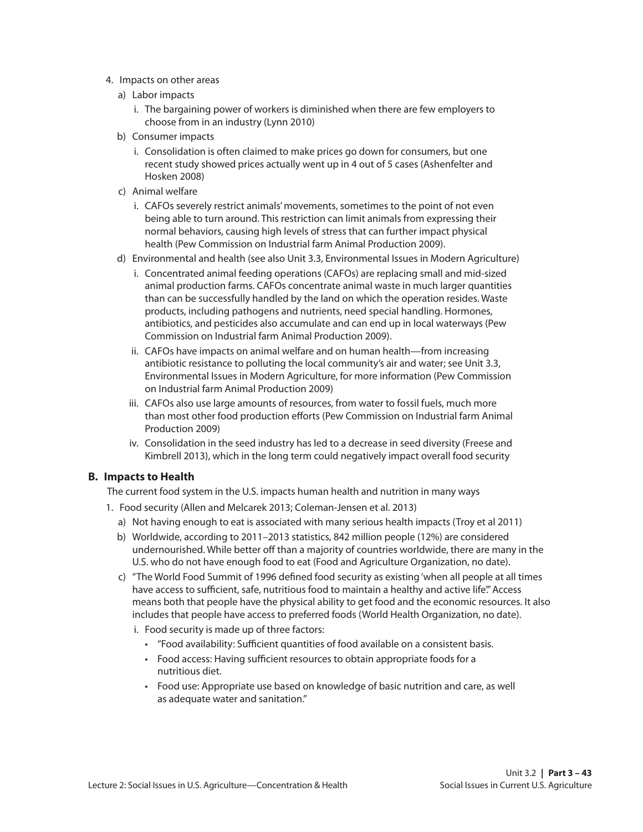- 4. Impacts on other areas
	- a) Labor impacts
		- i. The bargaining power of workers is diminished when there are few employers to choose from in an industry (Lynn 2010)
	- b) Consumer impacts
		- i. Consolidation is often claimed to make prices go down for consumers, but one recent study showed prices actually went up in 4 out of 5 cases (Ashenfelter and Hosken 2008)
	- c) Animal welfare
		- i. CAFOs severely restrict animals' movements, sometimes to the point of not even being able to turn around. This restriction can limit animals from expressing their normal behaviors, causing high levels of stress that can further impact physical health (Pew Commission on Industrial farm Animal Production 2009).
	- d) Environmental and health (see also Unit 3.3, Environmental Issues in Modern Agriculture)
		- i. Concentrated animal feeding operations (CAFOs) are replacing small and mid-sized animal production farms. CAFOs concentrate animal waste in much larger quantities than can be successfully handled by the land on which the operation resides. Waste products, including pathogens and nutrients, need special handling. Hormones, antibiotics, and pesticides also accumulate and can end up in local waterways (Pew Commission on Industrial farm Animal Production 2009).
		- ii. CAFOs have impacts on animal welfare and on human health—from increasing antibiotic resistance to polluting the local community's air and water; see Unit 3.3, Environmental Issues in Modern Agriculture, for more information (Pew Commission on Industrial farm Animal Production 2009)
		- iii. CAFOs also use large amounts of resources, from water to fossil fuels, much more than most other food production efforts (Pew Commission on Industrial farm Animal Production 2009)
		- iv. Consolidation in the seed industry has led to a decrease in seed diversity (Freese and Kimbrell 2013), which in the long term could negatively impact overall food security

### **B. Impacts to Health**

The current food system in the U.S. impacts human health and nutrition in many ways

- 1. Food security (Allen and Melcarek 2013; Coleman-Jensen et al. 2013)
	- a) Not having enough to eat is associated with many serious health impacts (Troy et al 2011)
	- b) Worldwide, according to 2011–2013 statistics, 842 million people (12%) are considered undernourished. While better off than a majority of countries worldwide, there are many in the U.S. who do not have enough food to eat (Food and Agriculture Organization, no date).
	- c) "The World Food Summit of 1996 defined food security as existing 'when all people at all times have access to sufficient, safe, nutritious food to maintain a healthy and active life." Access means both that people have the physical ability to get food and the economic resources. It also includes that people have access to preferred foods (World Health Organization, no date).
		- i. Food security is made up of three factors:
			- • "Food availability: Sufficient quantities of food available on a consistent basis.
			- Food access: Having sufficient resources to obtain appropriate foods for a nutritious diet.
			- • Food use: Appropriate use based on knowledge of basic nutrition and care, as well as adequate water and sanitation."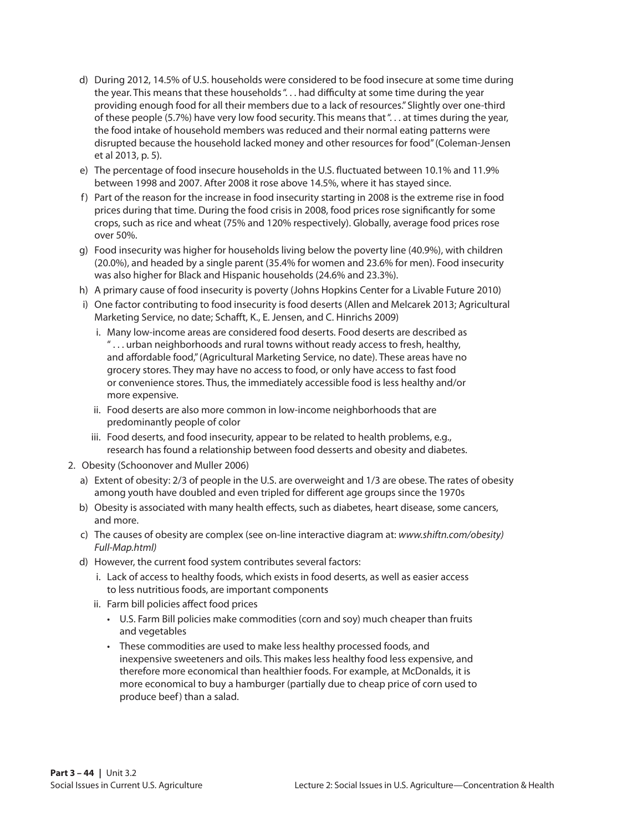- d) During 2012, 14.5% of U.S. households were considered to be food insecure at some time during the year. This means that these households ". . . had difficulty at some time during the year providing enough food for all their members due to a lack of resources." Slightly over one-third of these people (5.7%) have very low food security. This means that ". . . at times during the year, the food intake of household members was reduced and their normal eating patterns were disrupted because the household lacked money and other resources for food" (Coleman-Jensen et al 2013, p. 5).
- e) The percentage of food insecure households in the U.S. fluctuated between 10.1% and 11.9% between 1998 and 2007. After 2008 it rose above 14.5%, where it has stayed since.
- f) Part of the reason for the increase in food insecurity starting in 2008 is the extreme rise in food prices during that time. During the food crisis in 2008, food prices rose significantly for some crops, such as rice and wheat (75% and 120% respectively). Globally, average food prices rose over 50%.
- g) Food insecurity was higher for households living below the poverty line (40.9%), with children (20.0%), and headed by a single parent (35.4% for women and 23.6% for men). Food insecurity was also higher for Black and Hispanic households (24.6% and 23.3%).
- h) A primary cause of food insecurity is poverty (Johns Hopkins Center for a Livable Future 2010)
- i) One factor contributing to food insecurity is food deserts (Allen and Melcarek 2013; Agricultural Marketing Service, no date; Schafft, K., E. Jensen, and C. Hinrichs 2009)
	- i. Many low-income areas are considered food deserts. Food deserts are described as " . . . urban neighborhoods and rural towns without ready access to fresh, healthy, and affordable food," (Agricultural Marketing Service, no date). These areas have no grocery stores. They may have no access to food, or only have access to fast food or convenience stores. Thus, the immediately accessible food is less healthy and/or more expensive.
	- ii. Food deserts are also more common in low-income neighborhoods that are predominantly people of color
	- iii. Food deserts, and food insecurity, appear to be related to health problems, e.g., research has found a relationship between food desserts and obesity and diabetes.
- 2. Obesity (Schoonover and Muller 2006)
	- a) Extent of obesity: 2/3 of people in the U.S. are overweight and 1/3 are obese. The rates of obesity among youth have doubled and even tripled for different age groups since the 1970s
	- b) Obesity is associated with many health effects, such as diabetes, heart disease, some cancers, and more.
	- c) The causes of obesity are complex (see on-line interactive diagram at: *[www.shiftn.com/obesity\)](www.shiftn.com/obesity/Full) [Full](www.shiftn.com/obesity/Full)<-Map.html>)*
	- d) However, the current food system contributes several factors:
		- i. Lack of access to healthy foods, which exists in food deserts, as well as easier access to less nutritious foods, are important components
		- ii. Farm bill policies affect food prices
			- • U.S. Farm Bill policies make commodities (corn and soy) much cheaper than fruits and vegetables
			- These commodities are used to make less healthy processed foods, and inexpensive sweeteners and oils. This makes less healthy food less expensive, and therefore more economical than healthier foods. For example, at McDonalds, it is more economical to buy a hamburger (partially due to cheap price of corn used to produce beef) than a salad.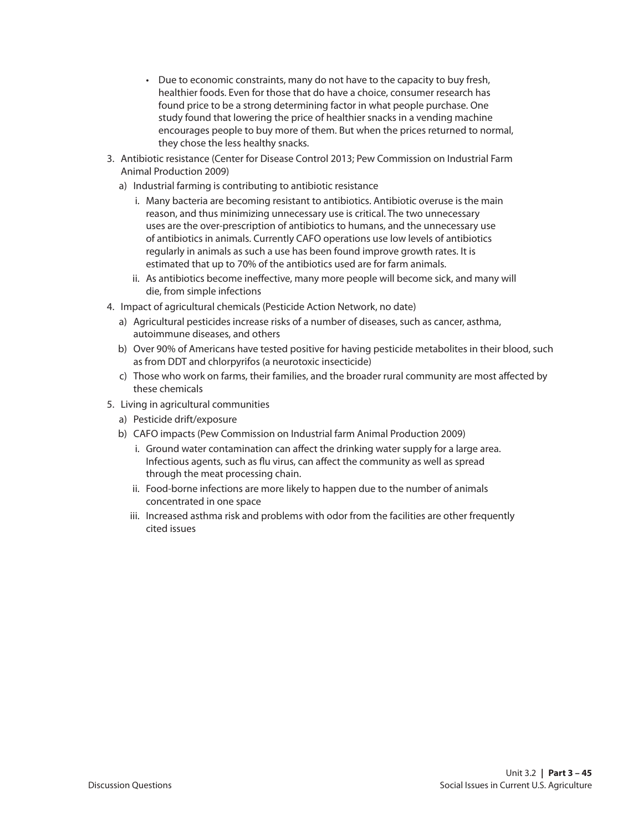- • Due to economic constraints, many do not have to the capacity to buy fresh, healthier foods. Even for those that do have a choice, consumer research has found price to be a strong determining factor in what people purchase. One study found that lowering the price of healthier snacks in a vending machine encourages people to buy more of them. But when the prices returned to normal, they chose the less healthy snacks.
- 3. Antibiotic resistance (Center for Disease Control 2013; Pew Commission on Industrial Farm Animal Production 2009)
	- a) Industrial farming is contributing to antibiotic resistance
		- i. Many bacteria are becoming resistant to antibiotics. Antibiotic overuse is the main reason, and thus minimizing unnecessary use is critical. The two unnecessary uses are the over-prescription of antibiotics to humans, and the unnecessary use of antibiotics in animals. Currently CAFO operations use low levels of antibiotics regularly in animals as such a use has been found improve growth rates. It is estimated that up to 70% of the antibiotics used are for farm animals.
		- ii. As antibiotics become ineffective, many more people will become sick, and many will die, from simple infections
- 4. Impact of agricultural chemicals (Pesticide Action Network, no date)
	- a) Agricultural pesticides increase risks of a number of diseases, such as cancer, asthma, autoimmune diseases, and others
	- b) Over 90% of Americans have tested positive for having pesticide metabolites in their blood, such as from DDT and chlorpyrifos (a neurotoxic insecticide)
	- c) Those who work on farms, their families, and the broader rural community are most affected by these chemicals
- 5. Living in agricultural communities
	- a) Pesticide drift/exposure
	- b) CAFO impacts (Pew Commission on Industrial farm Animal Production 2009)
		- i. Ground water contamination can affect the drinking water supply for a large area. Infectious agents, such as flu virus, can affect the community as well as spread through the meat processing chain.
		- ii. Food-borne infections are more likely to happen due to the number of animals concentrated in one space
		- iii. Increased asthma risk and problems with odor from the facilities are other frequently cited issues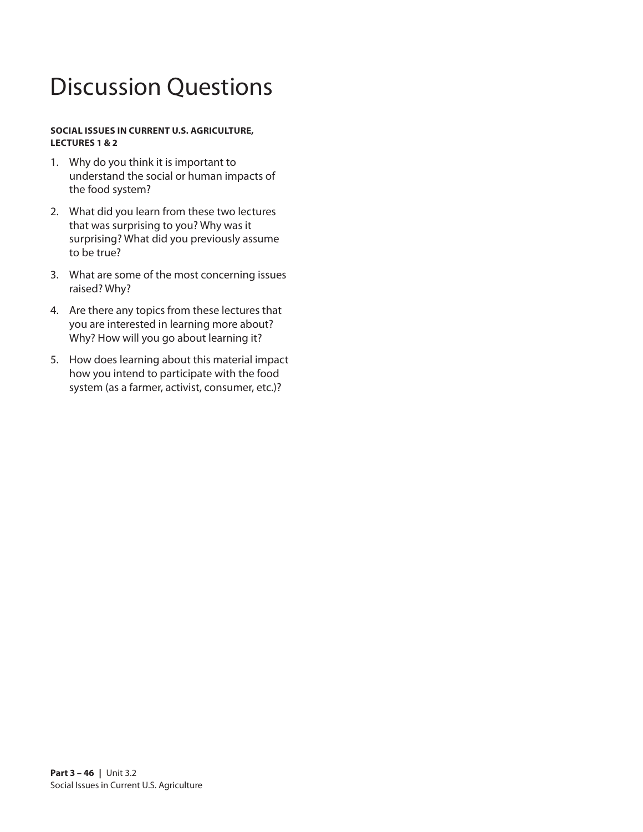# Discussion Questions

### **Social issues in current U.S. Agriculture, Lectures 1 & 2**

- 1. Why do you think it is important to understand the social or human impacts of the food system?
- 2. What did you learn from these two lectures that was surprising to you? Why was it surprising? What did you previously assume to be true?
- 3. What are some of the most concerning issues raised? Why?
- 4. Are there any topics from these lectures that you are interested in learning more about? Why? How will you go about learning it?
- 5. How does learning about this material impact how you intend to participate with the food system (as a farmer, activist, consumer, etc.)?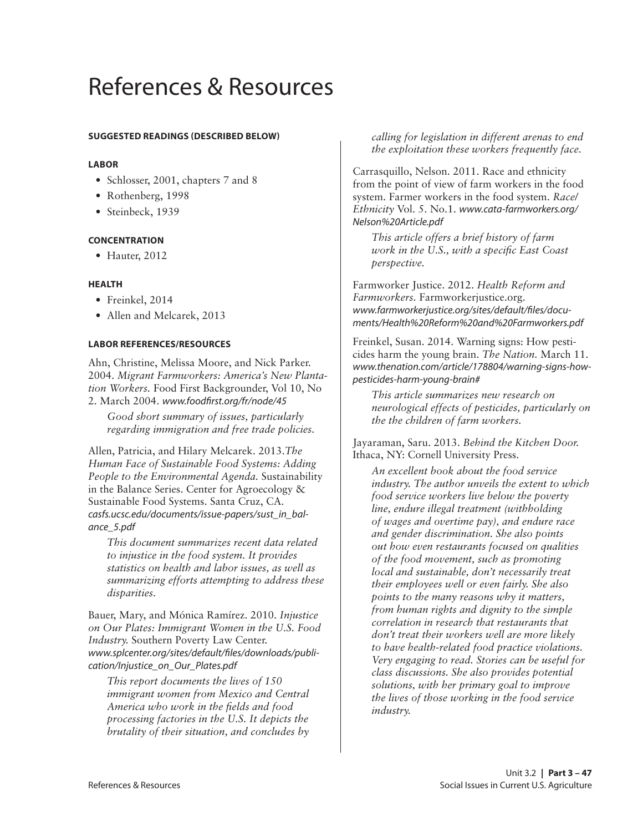# References & Resources

### **Suggested Readings (Described Below)**

### **Labor**

- Schlosser, 2001, chapters 7 and 8
- • Rothenberg, 1998
- Steinbeck, 1939

### **concentration**

• Hauter, 2012

### **health**

- • Freinkel, 2014
- Allen and Melcarek, 2013

### **Labor References/Resources**

Ahn, Christine, Melissa Moore, and Nick Parker. 2004. *Migrant Farmworkers: America's New Plantation Workers.* Food First Backgrounder, Vol 10, No 2. March 2004. *[www.foodfirst.org/fr/node/](www.foodfirst.org/fr/node)45*

*Good short summary of issues, particularly regarding immigration and free trade policies.*

Allen, Patricia, and Hilary Melcarek. [2013.](2013.The)*The Human Face of Sustainable Food Systems: Adding People to the Environmental Agenda.* Sustainability in the Balance Series. Center for Agroecology & Sustainable Food Systems. Santa Cruz, CA. *<casfs.ucsc.edu/documents/issue>-papers/[sust\\_in\\_bal](sust_in_balance_5.pdf)[ance\\_5.pdf](sust_in_balance_5.pdf)*

*This document summarizes recent data related to injustice in the food system. It provides statistics on health and labor issues, as well as summarizing efforts attempting to address these disparities.*

Bauer, Mary, and Mónica Ramírez. 2010. *Injustice on Our Plates: Immigrant Women in the U.S. Food Industry.* Southern Poverty Law Center. *[www.splcenter.org/sites/default/files/downloads/publi](www.splcenter.org/sites/default/files/downloads/publication/Injustice_on_Our_Plates.pdf)[cation/Injustice\\_on\\_Our\\_Plates.pdf](www.splcenter.org/sites/default/files/downloads/publication/Injustice_on_Our_Plates.pdf)*

*This report documents the lives of 150 immigrant women from Mexico and Central America who work in the fields and food processing factories in the U.S. It depicts the brutality of their situation, and concludes by*  *calling for legislation in different arenas to end the exploitation these workers frequently face.* 

Carrasquillo, Nelson. 2011. Race and ethnicity from the point of view of farm workers in the food system. Farmer workers in the food system. *Race/ Ethnicity* Vol. 5. No.1. *<www.cata>[-farmworkers.org/](-farmworkers.org/Nelson) [Nelson](-farmworkers.org/Nelson)[%20Article.pdf](20Article.pdf)*

*This article offers a brief history of farm work in the U.S., with a specific East Coast perspective.*

Farmworker Justice. 2012. *Health Reform and Farmworkers.* [Farmworkerjustice.org.](Farmworkerjustice.org) *[www.farmworkerjustice.org/sites/default/files/docu](www.farmworkerjustice.org/sites/default/files/documents/Health)[ments/Health%](www.farmworkerjustice.org/sites/default/files/documents/Health)20Reform%20and%<20Farmworkers.pdf>*

Freinkel, Susan. 2014. Warning signs: How pesticides harm the young brain. *The Nation.* March 11. *<www.thenation.com/article/178804/warning>-signs-howpesticides-harm-young-brain#*

*This article summarizes new research on neurological effects of pesticides, particularly on the the children of farm workers.*

Jayaraman, Saru. 2013. *Behind the Kitchen Door.*  Ithaca, NY: Cornell University Press.

*An excellent book about the food service industry. The author unveils the extent to which food service workers live below the poverty line, endure illegal treatment (withholding of wages and overtime pay), and endure race and gender discrimination. She also points out how even restaurants focused on qualities of the food movement, such as promoting local and sustainable, don't necessarily treat their employees well or even fairly. She also points to the many reasons why it matters, from human rights and dignity to the simple correlation in research that restaurants that don't treat their workers well are more likely to have health-related food practice violations. Very engaging to read. Stories can be useful for class discussions. She also provides potential solutions, with her primary goal to improve the lives of those working in the food service industry.*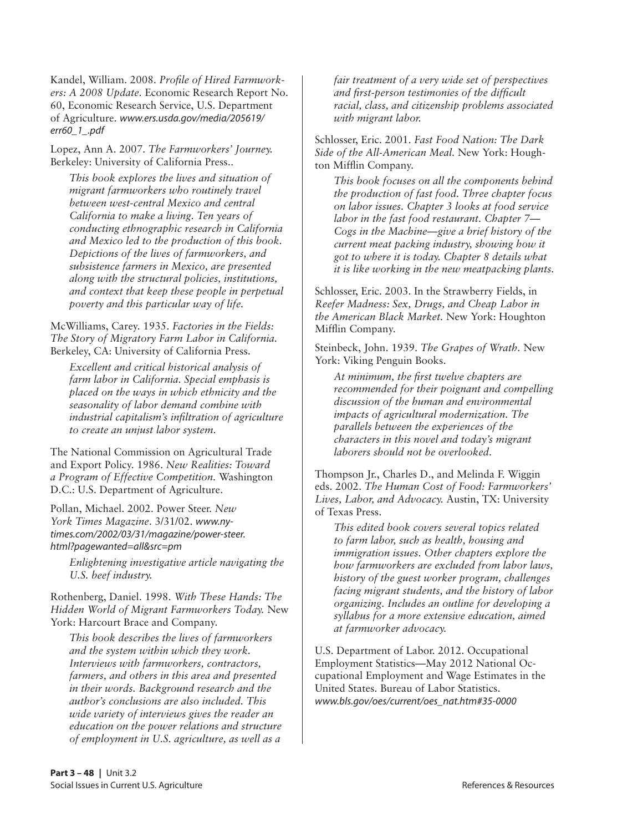Kandel, William. 2008. *Profile of Hired Farmworkers: A 2008 Update.* Economic Research Report No. 60, Economic Research Service, U.S. Department of Agriculture. *[www.ers.usda.gov/media/205619/](www.ers.usda.gov/media/205619/err60_1_.pdf) [err60\\_1\\_.pdf](www.ers.usda.gov/media/205619/err60_1_.pdf)*

Lopez, Ann A. 2007. *The Farmworkers' Journey.*  Berkeley: University of California Press..

*This book explores the lives and situation of migrant farmworkers who routinely travel between west-central Mexico and central California to make a living. Ten years of conducting ethnographic research in California and Mexico led to the production of this book. Depictions of the lives of farmworkers, and subsistence farmers in Mexico, are presented along with the structural policies, institutions, and context that keep these people in perpetual poverty and this particular way of life.*

McWilliams, Carey. 1935. *Factories in the Fields: The Story of Migratory Farm Labor in California.* Berkeley, CA: University of California Press.

*Excellent and critical historical analysis of farm labor in California. Special emphasis is placed on the ways in which ethnicity and the seasonality of labor demand combine with industrial capitalism's infiltration of agriculture to create an unjust labor system.* 

The National Commission on Agricultural Trade and Export Policy. 1986. *New Realities: Toward a Program of Effective Competition.* Washington D.C.: U.S. Department of Agriculture.

Pollan, Michael. 2002. Power Steer. *New York Times Magazine*. 3/31/02. *[www.ny](www.nytimes.com/2002/03/31/magazine/power)[times.com/2002/03/31/magazine/power](www.nytimes.com/2002/03/31/magazine/power)[-steer.](-steer.html) [html?](-steer.html)pagewanted=all&src=pm*

*Enlightening investigative article navigating the U.S. beef industry.* 

Rothenberg, Daniel. 1998. *With These Hands: The Hidden World of Migrant Farmworkers Today.* New York: Harcourt Brace and Company.

*This book describes the lives of farmworkers and the system within which they work. Interviews with farmworkers, contractors, farmers, and others in this area and presented in their words. Background research and the author's conclusions are also included. This wide variety of interviews gives the reader an education on the power relations and structure of employment in U.S. agriculture, as well as a* 

*fair treatment of a very wide set of perspectives and first-person testimonies of the difficult racial, class, and citizenship problems associated with migrant labor.*

Schlosser, Eric. 2001. *Fast Food Nation: The Dark Side of the All-American Meal.* New York: Houghton Mifflin Company.

*This book focuses on all the components behind the production of fast food. Three chapter focus on labor issues. Chapter 3 looks at food service labor in the fast food restaurant. Chapter 7— Cogs in the Machine—give a brief history of the current meat packing industry, showing how it got to where it is today. Chapter 8 details what it is like working in the new meatpacking plants.*

Schlosser, Eric. 2003. In the Strawberry Fields, in *Reefer Madness: Sex, Drugs, and Cheap Labor in the American Black Market.* New York: Houghton Mifflin Company.

Steinbeck, John. 1939. *The Grapes of Wrath.* New York: Viking Penguin Books.

*At minimum, the first twelve chapters are recommended for their poignant and compelling discussion of the human and environmental impacts of agricultural modernization. The parallels between the experiences of the characters in this novel and today's migrant laborers should not be overlooked.*

Thompson Jr., Charles D., and Melinda F. Wiggin eds. 2002. *The Human Cost of Food: Farmworkers' Lives, Labor, and Advocacy.* Austin, TX: University of Texas Press.

*This edited book covers several topics related to farm labor, such as health, housing and immigration issues. Other chapters explore the how farmworkers are excluded from labor laws, history of the guest worker program, challenges facing migrant students, and the history of labor organizing. Includes an outline for developing a syllabus for a more extensive education, aimed at farmworker advocacy.* 

U.S. Department of Labor. 2012. Occupational Employment Statistics—May 2012 National Occupational Employment and Wage Estimates in the United States. Bureau of Labor Statistics. *[www.bls.gov/oes/current/oes\\_nat.htm](www.bls.gov/oes/current/oes_nat.htm)#35-0000*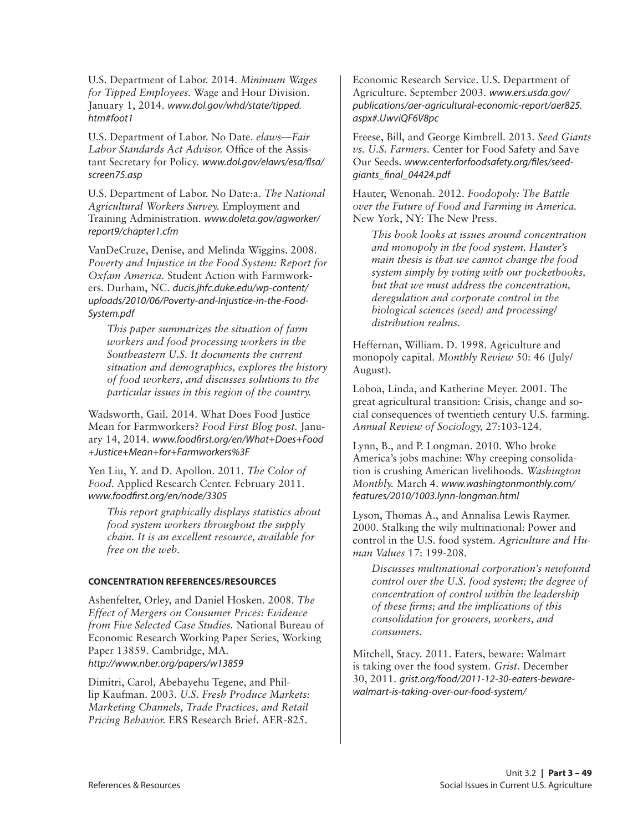U.S. Department of Labor. 2014. *Minimum Wages for Tipped Employees.* Wage and Hour Division. January 1, 2014. *[www.dol.gov/whd/state/tipped.](www.dol.gov/whd/state/tipped.htm) [htm#](www.dol.gov/whd/state/tipped.htm)foot1*

U.S. Department of Labor. No Date. *elaws—Fair Labor Standards Act Advisor.* Office of the Assistant Secretary for Policy. *[www.dol.gov/elaws/esa/flsa/](www.dol.gov/elaws/esa/flsa/screen75.asp) [screen75.asp](www.dol.gov/elaws/esa/flsa/screen75.asp)*

U.S. Department of Labor. No Date:a. *The National Agricultural Workers Survey.* Employment and Training Administration. *[www.doleta.gov/agworker/](www.doleta.gov/agworker/report9/chapter1.cfm) [report9/chapter1.cfm](www.doleta.gov/agworker/report9/chapter1.cfm)*

VanDeCruze, Denise, and Melinda Wiggins. 2008. *Poverty and Injustice in the Food System: Report for Oxfam America.* Student Action with Farmworkers. Durham, NC. *<ducis.jhfc.duke.edu/wp>-content/ uploads/2010/06/[Poverty-and-Injustice-in-the-Food-](Poverty-and-Injustice-in-the-Food-System.pdf)[System.pdf](Poverty-and-Injustice-in-the-Food-System.pdf)*

*This paper summarizes the situation of farm workers and food processing workers in the Southeastern U.S. It documents the current situation and demographics, explores the history of food workers, and discusses solutions to the particular issues in this region of the country.* 

Wadsworth, Gail. 2014. What Does Food Justice Mean for Farmworkers? *Food First Blog post.* January 14, 2014. *<www.foodfirst.org/en/What>+Does+Food +Justice+Mean+for+Farmworkers%3F*

Yen Liu, Y. and D. Apollon. 2011. *The Color of Food.* Applied Research Center. February 2011. *<www.foodfirst.org/en/node>/3305*

*This report graphically displays statistics about food system workers throughout the supply chain. It is an excellent resource, available for free on the web.*

### **CONCENTRATION References/Resources**

Ashenfelter, Orley, and Daniel Hosken. 2008. *The Effect of Mergers on Consumer Prices: Evidence from Five Selected Case Studies.* National Bureau of Economic Research Working Paper Series, Working Paper 13859. Cambridge, MA. *<http://www.nber.org/papers/w13859>*

Dimitri, Carol, Abebayehu Tegene, and Phillip Kaufman. 2003. *U.S. Fresh Produce Markets: Marketing Channels, Trade Practices, and Retail Pricing Behavior.* ERS Research Brief. AER-825.

Economic Research Service. U.S. Department of Agriculture. September 2003. *[www.ers.usda.gov/](www.ers.usda.gov/publications/aer) [publications/aer](www.ers.usda.gov/publications/aer)-agricultural-economic-report/[aer825.](aer825.aspx) [aspx#](aer825.aspx).UwviQF6V8pc*

Freese, Bill, and George Kimbrell. 2013. *Seed Giants vs. U.S. Farmers.* Center for Food Safety and Save Our Seeds. *<www.centerforfoodsafety.org/files/seed>[giants\\_final\\_04424.pdf](-giants_final_04424.pdf)*

Hauter, Wenonah. 2012. *Foodopoly: The Battle over the Future of Food and Farming in America.* New York, NY: The New Press.

*This book looks at issues around concentration and monopoly in the food system. Hauter's main thesis is that we cannot change the food system simply by voting with our pocketbooks, but that we must address the concentration, deregulation and corporate control in the biological sciences (seed) and processing/ distribution realms.*

Heffernan, William. D. 1998. Agriculture and monopoly capital. *Monthly Review* 50: 46 (July/ August).

Loboa, Linda, and Katherine Meyer. 2001. The great agricultural transition: Crisis, change and social consequences of twentieth century U.S. farming. *Annual Review of Sociology,* 27:103-124.

Lynn, B., and P. Longman. 2010. Who broke America's jobs machine: Why creeping consolidation is crushing American livelihoods. *Washington Monthly.* March 4. *[www.washingtonmonthly.com/](www.washingtonmonthly.com/features/2010/1003.lynn) [features/2010/1003.lynn](www.washingtonmonthly.com/features/2010/1003.lynn)<-longman.html>*

Lyson, Thomas A., and Annalisa Lewis Raymer. 2000. Stalking the wily multinational: Power and control in the U.S. food system. *Agriculture and Human Values* 17: 199-208.

*Discusses multinational corporation's newfound control over the U.S. food system; the degree of concentration of control within the leadership of these firms; and the implications of this consolidation for growers, workers, and consumers.*

Mitchell, Stacy. 2011. Eaters, beware: Walmart is taking over the food system. *Grist*. December 30, 2011. *[grist.org/food/](grist.org/food)2011-12-30-eaters-bewarewalmart-is-taking-over-our-food-system/*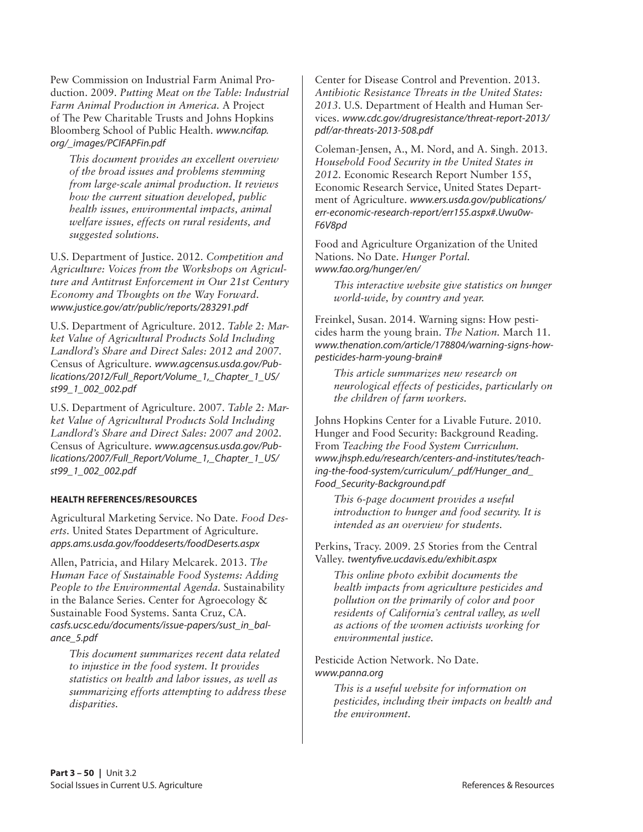Pew Commission on Industrial Farm Animal Production. 2009. *Putting Meat on the Table: Industrial Farm Animal Production in America.* A Project of The Pew Charitable Trusts and Johns Hopkins Bloomberg School of Public Health. *[www.ncifap.](www.ncifap.org/_images/PCIFAPFin.pdf) [org/\\_images/PCIFAPFin.pdf](www.ncifap.org/_images/PCIFAPFin.pdf)*

*This document provides an excellent overview of the broad issues and problems stemming from large-scale animal production. It reviews how the current situation developed, public health issues, environmental impacts, animal welfare issues, effects on rural residents, and suggested solutions.* 

U.S. Department of Justice. 2012. *Competition and Agriculture: Voices from the Workshops on Agriculture and Antitrust Enforcement in Our 21st Century Economy and Thoughts on the Way Forward. <www.justice.gov/atr/public/reports/283291.pdf>*

U.S. Department of Agriculture. 2012. *Table 2: Market Value of Agricultural Products Sold Including Landlord's Share and Direct Sales: 2012 and 2007.*  Census of Agriculture. *[www.agcensus.usda.gov/Pub](www.agcensus.usda.gov/Publications/2012/Full_Report/Volume)[lications/2012/Full\\_Report/Volume\\_](www.agcensus.usda.gov/Publications/2012/Full_Report/Volume)1,\_Chapter\_1\_US/ [st99\\_1\\_002\\_002.pdf](st99_1_002_002.pdf)*

U.S. Department of Agriculture. 2007. *Table 2: Market Value of Agricultural Products Sold Including Landlord's Share and Direct Sales: 2007 and 2002.* Census of Agriculture. *[www.agcensus.usda.gov/Pub](www.agcensus.usda.gov/Publications/2007/Full_Report/Volume)[lications/2007/Full\\_Report/Volume\\_](www.agcensus.usda.gov/Publications/2007/Full_Report/Volume)1,\_Chapter\_1\_US/ [st99\\_1\\_002\\_002.pdf](st99_1_002_002.pdf)*

### **HEALTH References/Resources**

Agricultural Marketing Service. No Date. *Food Deserts.* United States Department of Agriculture. *<apps.ams.usda.gov/fooddeserts/foodDeserts.aspx>*

Allen, Patricia, and Hilary Melcarek. 2013. *The Human Face of Sustainable Food Systems: Adding People to the Environmental Agenda.* Sustainability in the Balance Series. Center for Agroecology & Sustainable Food Systems. Santa Cruz, CA. *<casfs.ucsc.edu/documents/issue>-papers/[sust\\_in\\_bal](sust_in_balance_5.pdf)[ance\\_5.pdf](sust_in_balance_5.pdf)*

*This document summarizes recent data related to injustice in the food system. It provides statistics on health and labor issues, as well as summarizing efforts attempting to address these disparities.*

Center for Disease Control and Prevention. 2013. *Antibiotic Resistance Threats in the United States: 2013.* U.S. Department of Health and Human Services. *[www.cdc.gov/drugresistance/threat-](www.cdc.gov/drugresistance/threat)report-2013/ pdf/<ar-threats-2013-508.pdf>*

Coleman-Jensen, A., M. Nord, and A. Singh. 2013. *Household Food Security in the United States in 2012.* Economic Research Report Number 155, Economic Research Service, United States Department of Agriculture. *[www.ers.usda.gov/publications/](www.ers.usda.gov/publications/err) [err-](www.ers.usda.gov/publications/err)economic-research-report[/err155.aspx](err155.aspx)#.Uwu0w-F6V8pd*

Food and Agriculture Organization of the United Nations. No Date. *Hunger Portal. <www.fao.org/hunger/en>/*

*This interactive website give statistics on hunger world-wide, by country and year.*

Freinkel, Susan. 2014. Warning signs: How pesticides harm the young brain. *The Nation.* March 11. *<www.thenation.com/article/178804/warning>-signs-howpesticides-harm-young-brain#*

*This article summarizes new research on neurological effects of pesticides, particularly on the children of farm workers.*

Johns Hopkins Center for a Livable Future. 2010. Hunger and Food Security: Background Reading. From *Teaching the Food System Curriculum. <www.jhsph.edu/research/centers>-and-institutes/teaching-the-food-system/curriculum/\_pdf/[Hunger\\_and\\_](Hunger_and_Food_Security-Background.pdf) [Food\\_Security-Background.pdf](Hunger_and_Food_Security-Background.pdf)*

*This 6-page document provides a useful introduction to hunger and food security. It is intended as an overview for students.*

Perkins, Tracy. 2009. 25 Stories from the Central Valley. *<twentyfive.ucdavis.edu/exhibit.aspx>*

*This online photo exhibit documents the health impacts from agriculture pesticides and pollution on the primarily of color and poor residents of California's central valley, as well as actions of the women activists working for environmental justice.* 

Pesticide Action Network. No Date. *<www.panna.org>*

> *This is a useful website for information on pesticides, including their impacts on health and the environment.*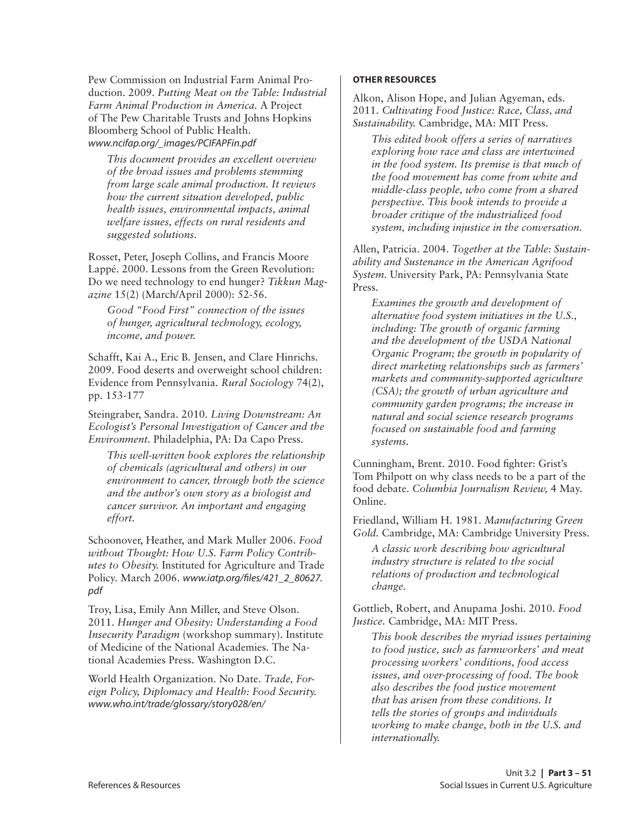Pew Commission on Industrial Farm Animal Production. 2009. *Putting Meat on the Table: Industrial Farm Animal Production in America.* A Project of The Pew Charitable Trusts and Johns Hopkins Bloomberg School of Public Health. *[www.ncifap.org/\\_images/PCIFAPFin.pdf](www.ncifap.org/_images/PCIFAPFin.pdf)*

*This document provides an excellent overview of the broad issues and problems stemming from large scale animal production. It reviews how the current situation developed, public health issues, environmental impacts, animal welfare issues, effects on rural residents and suggested solutions.* 

Rosset, Peter, Joseph Collins, and Francis Moore Lappé. 2000. Lessons from the Green Revolution: Do we need technology to end hunger? *Tikkun Magazine* 15(2) (March/April 2000): 52-56.

*Good "Food First" connection of the issues of hunger, agricultural technology, ecology, income, and power.*

Schafft, Kai A., Eric B. Jensen, and Clare Hinrichs. 2009. Food deserts and overweight school children: Evidence from Pennsylvania. *Rural Sociology* 74(2), pp. 153-177

Steingraber, Sandra. 2010. *Living Downstream: An Ecologist's Personal Investigation of Cancer and the Environment.* Philadelphia, PA: Da Capo Press.

*This well-written book explores the relationship of chemicals (agricultural and others) in our environment to cancer, through both the science and the author's own story as a biologist and cancer survivor. An important and engaging effort.*

Schoonover, Heather, and Mark Muller 2006. *Food without Thought: How U.S. Farm Policy Contributes to Obesity.* Instituted for Agriculture and Trade Policy. March 2006. *[www.iatp.org/files/421\\_2\\_80627.](www.iatp.org/files/421_2_80627.pdf) [pdf](www.iatp.org/files/421_2_80627.pdf)*

Troy, Lisa, Emily Ann Miller, and Steve Olson. 2011. *Hunger and Obesity: Understanding a Food Insecurity Paradigm* (workshop summary). Institute of Medicine of the National Academies. The National Academies Press. Washington D.C.

World Health Organization. No Date. *Trade, Foreign Policy, Diplomacy and Health: Food Security. <www.who.int/trade/glossary/story028/en>/*

### **Other Resources**

Alkon, Alison Hope, and Julian Agyeman, eds. 2011. *Cultivating Food Justice: Race, Class, and Sustainability.* Cambridge, MA: MIT Press.

*This edited book offers a series of narratives exploring how race and class are intertwined in the food system. Its premise is that much of the food movement has come from white and middle-class people, who come from a shared perspective. This book intends to provide a broader critique of the industrialized food system, including injustice in the conversation.* 

Allen, Patricia. 2004. *Together at the Table: Sustainability and Sustenance in the American Agrifood System.* University Park, PA: Pennsylvania State Press.

*Examines the growth and development of alternative food system initiatives in the U.S., including: The growth of organic farming and the development of the USDA National Organic Program; the growth in popularity of direct marketing relationships such as farmers' markets and community-supported agriculture (CSA); the growth of urban agriculture and community garden programs; the increase in natural and social science research programs focused on sustainable food and farming systems.*

Cunningham, Brent. 2010. Food fighter: Grist's Tom Philpott on why class needs to be a part of the food debate. *Columbia Journalism Review,* 4 May. Online.

Friedland, William H. 1981. *Manufacturing Green Gold.* Cambridge, MA: Cambridge University Press.

*A classic work describing how agricultural industry structure is related to the social relations of production and technological change.*

Gottlieb, Robert, and Anupama Joshi. 2010. *Food Justice.* Cambridge, MA: MIT Press.

*This book describes the myriad issues pertaining to food justice, such as farmworkers' and meat processing workers' conditions, food access issues, and over-processing of food. The book also describes the food justice movement that has arisen from these conditions. It tells the stories of groups and individuals working to make change, both in the U.S. and internationally.*